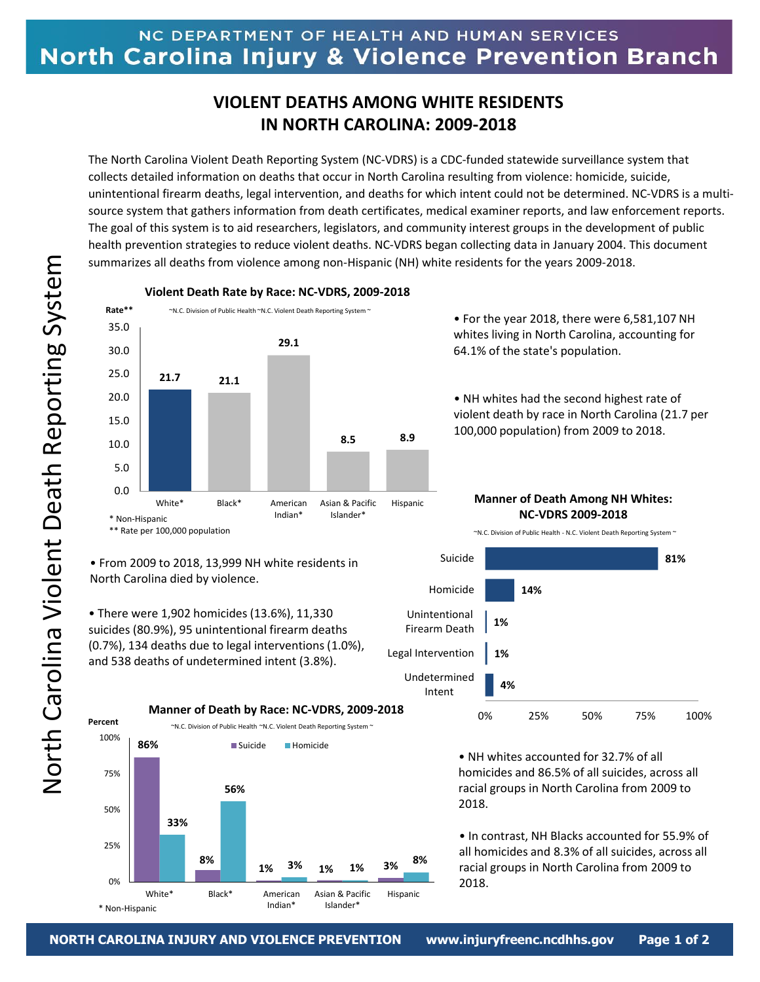## **VIOLENT DEATHS AMONG WHITE RESIDENTS IN NORTH CAROLINA: 2009-2018**

The North Carolina Violent Death Reporting System (NC-VDRS) is a CDC-funded statewide surveillance system that collects detailed information on deaths that occur in North Carolina resulting from violence: homicide, suicide, unintentional firearm deaths, legal intervention, and deaths for which intent could not be determined. NC-VDRS is a multisource system that gathers information from death certificates, medical examiner reports, and law enforcement reports. The goal of this system is to aid researchers, legislators, and community interest groups in the development of public health prevention strategies to reduce violent deaths. NC-VDRS began collecting data in January 2004. This document summarizes all deaths from violence among non-Hispanic (NH) white residents for the years 2009-2018.



**Violent Death Rate by Race: NC-VDRS, 2009-2018**

• For the year 2018, there were 6,581,107 NH whites living in North Carolina, accounting for 64.1% of the state's population.

• NH whites had the second highest rate of violent death by race in North Carolina (21.7 per 100,000 population) from 2009 to 2018.

**Manner of Death Among NH Whites: NC-VDRS 2009-2018**

~N.C. Division of Public Health - N.C. Violent Death Reporting System ~



## • NH whites accounted for 32.7% of all homicides and 86.5% of all suicides, across all racial groups in North Carolina from 2009 to 2018.

• In contrast, NH Blacks accounted for 55.9% of all homicides and 8.3% of all suicides, across all racial groups in North Carolina from 2009 to 2018.

• From 2009 to 2018, 13,999 NH white residents in North Carolina died by violence.

• There were 1,902 homicides (13.6%), 11,330 suicides (80.9%), 95 unintentional firearm deaths (0.7%), 134 deaths due to legal interventions (1.0%), and 538 deaths of undetermined intent (3.8%).